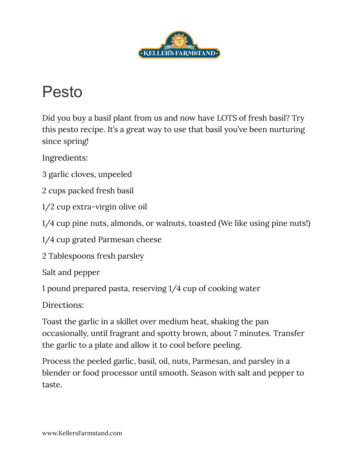

## Pesto

Did you buy a basil plant from us and now have LOTS of fresh basil? Try this pesto recipe. It's a great way to use that basil you've been nurturing since spring!

Ingredients:

3 garlic cloves, unpeeled

2 cups packed fresh basil

1/2 cup extra-virgin olive oil

1/4 cup pine nuts, almonds, or walnuts, toasted (We like using pine nuts!)

1/4 cup grated Parmesan cheese

2 Tablespoons fresh parsley

Salt and pepper

1 pound prepared pasta, reserving 1/4 cup of cooking water

Directions:

Toast the garlic in a skillet over medium heat, shaking the pan occasionally, until fragrant and spotty brown, about 7 minutes. Transfer the garlic to a plate and allow it to cool before peeling.

Process the peeled garlic, basil, oil, nuts, Parmesan, and parsley in a blender or food processor until smooth. Season with salt and pepper to taste.